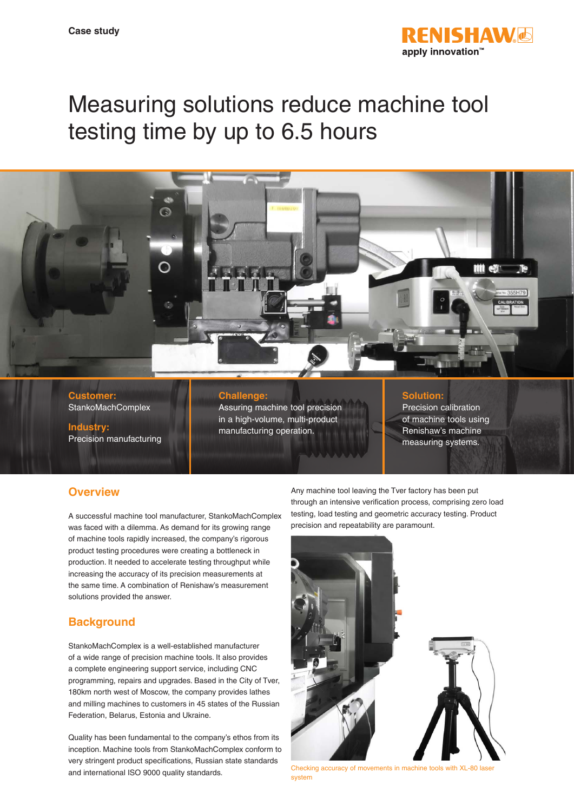

# Measuring solutions reduce machine tool testing time by up to 6.5 hours



**Customer: StankoMachComplex** 

**Industry:** Precision manufacturing

## **Challenge:**

Assuring machine tool precision in a high-volume, multi-product manufacturing operation.

### **Solution:**

Precision calibration of machine tools using Renishaw's machine measuring systems.

# **Overview**

A successful machine tool manufacturer, StankoMachComplex was faced with a dilemma. As demand for its growing range of machine tools rapidly increased, the company's rigorous product testing procedures were creating a bottleneck in production. It needed to accelerate testing throughput while increasing the accuracy of its precision measurements at the same time. A combination of Renishaw's measurement solutions provided the answer.

# **Background**

StankoMachComplex is a well-established manufacturer of a wide range of precision machine tools. It also provides a complete engineering support service, including CNC programming, repairs and upgrades. Based in the City of Tver, 180km north west of Moscow, the company provides lathes and milling machines to customers in 45 states of the Russian Federation, Belarus, Estonia and Ukraine.

Quality has been fundamental to the company's ethos from its inception. Machine tools from StankoMachComplex conform to very stringent product specifications, Russian state standards and international ISO 9000 quality standards.

Any machine tool leaving the Tver factory has been put through an intensive verification process, comprising zero load testing, load testing and geometric accuracy testing. Product precision and repeatability are paramount.



Checking accuracy of movements in machine tools system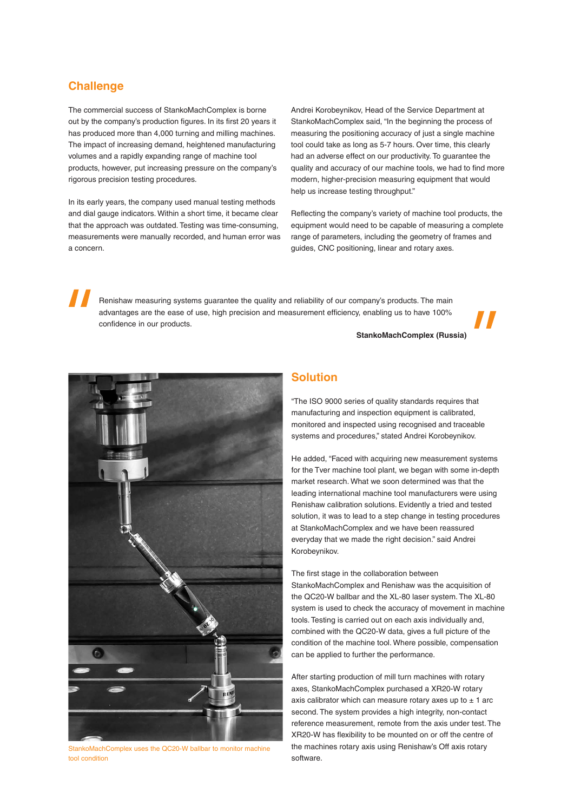# **Challenge**

The commercial success of StankoMachComplex is borne out by the company's production figures. In its first 20 years it has produced more than 4,000 turning and milling machines. The impact of increasing demand, heightened manufacturing volumes and a rapidly expanding range of machine tool products, however, put increasing pressure on the company's rigorous precision testing procedures.

In its early years, the company used manual testing methods and dial gauge indicators. Within a short time, it became clear that the approach was outdated. Testing was time-consuming, measurements were manually recorded, and human error was a concern.

Andrei Korobeynikov, Head of the Service Department at StankoMachComplex said, "In the beginning the process of measuring the positioning accuracy of just a single machine tool could take as long as 5-7 hours. Over time, this clearly had an adverse effect on our productivity. To guarantee the quality and accuracy of our machine tools, we had to find more modern, higher-precision measuring equipment that would help us increase testing throughput."

Reflecting the company's variety of machine tool products, the equipment would need to be capable of measuring a complete range of parameters, including the geometry of frames and guides, CNC positioning, linear and rotary axes.

Renishaw measuring systems guarantee the quality and reliability of our company's products. The main advantages are the ease of use, high precision and measurement efficiency, enabling us to have 100% confidence in our products.

**StankoMachComplex (Russia)**



StankoMachComplex uses the QC20-W ballbar to monitor machine tool condition

# **Solution**

"The ISO 9000 series of quality standards requires that manufacturing and inspection equipment is calibrated, monitored and inspected using recognised and traceable systems and procedures," stated Andrei Korobeynikov.

He added, "Faced with acquiring new measurement systems for the Tver machine tool plant, we began with some in-depth market research. What we soon determined was that the leading international machine tool manufacturers were using Renishaw calibration solutions. Evidently a tried and tested solution, it was to lead to a step change in testing procedures at StankoMachComplex and we have been reassured everyday that we made the right decision." said Andrei Korobeynikov.

The first stage in the collaboration between StankoMachComplex and Renishaw was the acquisition of the QC20-W ballbar and the XL-80 laser system. The XL-80 system is used to check the accuracy of movement in machine tools. Testing is carried out on each axis individually and, combined with the QC20-W data, gives a full picture of the condition of the machine tool. Where possible, compensation can be applied to further the performance.

After starting production of mill turn machines with rotary axes, StankoMachComplex purchased a XR20-W rotary axis calibrator which can measure rotary axes up to  $\pm$  1 arc second. The system provides a high integrity, non-contact reference measurement, remote from the axis under test. The XR20-W has flexibility to be mounted on or off the centre of the machines rotary axis using Renishaw's Off axis rotary software.